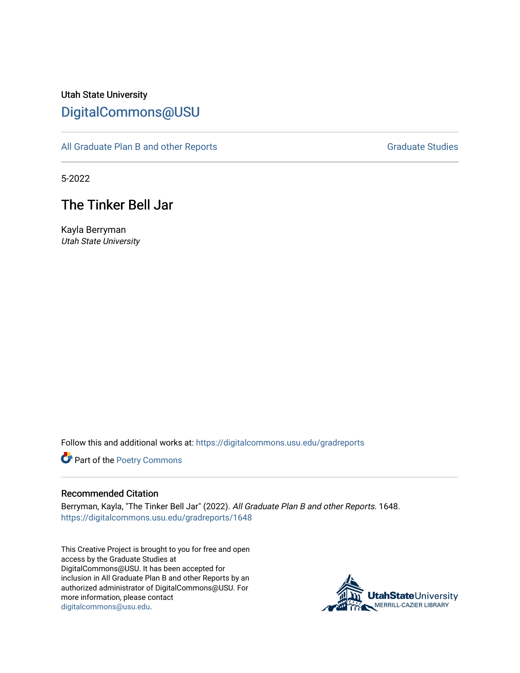# Utah State University [DigitalCommons@USU](https://digitalcommons.usu.edu/)

[All Graduate Plan B and other Reports](https://digitalcommons.usu.edu/gradreports) **Graduate Studies** Graduate Studies

5-2022

# The Tinker Bell Jar

Kayla Berryman Utah State University

Follow this and additional works at: [https://digitalcommons.usu.edu/gradreports](https://digitalcommons.usu.edu/gradreports?utm_source=digitalcommons.usu.edu%2Fgradreports%2F1648&utm_medium=PDF&utm_campaign=PDFCoverPages)

Part of the [Poetry Commons](http://network.bepress.com/hgg/discipline/1153?utm_source=digitalcommons.usu.edu%2Fgradreports%2F1648&utm_medium=PDF&utm_campaign=PDFCoverPages) 

#### Recommended Citation

Berryman, Kayla, "The Tinker Bell Jar" (2022). All Graduate Plan B and other Reports. 1648. [https://digitalcommons.usu.edu/gradreports/1648](https://digitalcommons.usu.edu/gradreports/1648?utm_source=digitalcommons.usu.edu%2Fgradreports%2F1648&utm_medium=PDF&utm_campaign=PDFCoverPages) 

This Creative Project is brought to you for free and open access by the Graduate Studies at DigitalCommons@USU. It has been accepted for inclusion in All Graduate Plan B and other Reports by an authorized administrator of DigitalCommons@USU. For more information, please contact [digitalcommons@usu.edu.](mailto:digitalcommons@usu.edu)

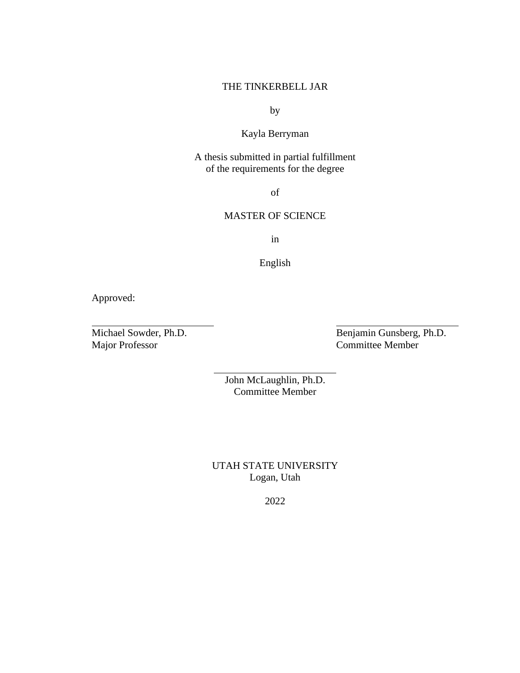# THE TINKERBELL JAR

by

# Kayla Berryman

A thesis submitted in partial fulfillment of the requirements for the degree

of

# MASTER OF SCIENCE

in

English

Approved:

Michael Sowder, Ph.D.<br>
Major Professor Committee Member Committee Member

> John McLaughlin, Ph.D. Committee Member

UTAH STATE UNIVERSITY Logan, Utah

2022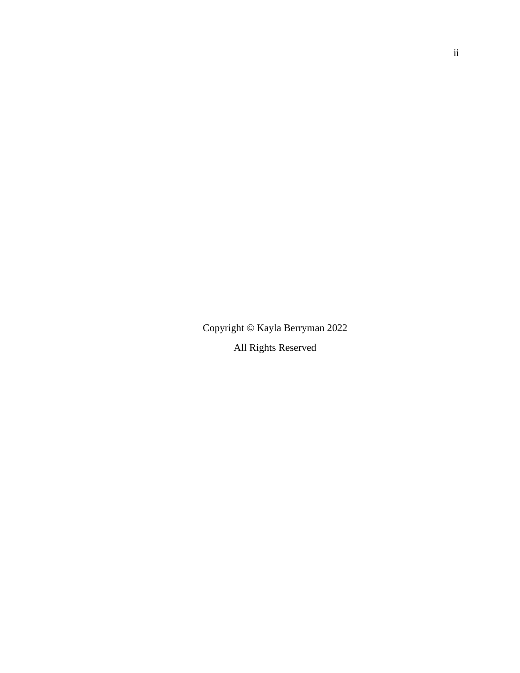Copyright © Kayla Berryman 2022 All Rights Reserved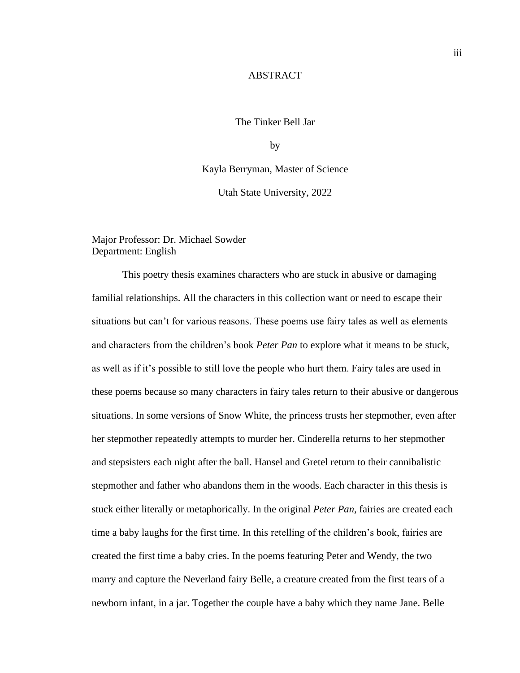# **ABSTRACT**

#### The Tinker Bell Jar

by

Kayla Berryman, Master of Science

Utah State University, 2022

Major Professor: Dr. Michael Sowder Department: English

This poetry thesis examines characters who are stuck in abusive or damaging familial relationships. All the characters in this collection want or need to escape their situations but can't for various reasons. These poems use fairy tales as well as elements and characters from the children's book *Peter Pan* to explore what it means to be stuck, as well as if it's possible to still love the people who hurt them. Fairy tales are used in these poems because so many characters in fairy tales return to their abusive or dangerous situations. In some versions of Snow White, the princess trusts her stepmother, even after her stepmother repeatedly attempts to murder her. Cinderella returns to her stepmother and stepsisters each night after the ball. Hansel and Gretel return to their cannibalistic stepmother and father who abandons them in the woods. Each character in this thesis is stuck either literally or metaphorically. In the original *Peter Pan,* fairies are created each time a baby laughs for the first time. In this retelling of the children's book, fairies are created the first time a baby cries. In the poems featuring Peter and Wendy, the two marry and capture the Neverland fairy Belle, a creature created from the first tears of a newborn infant, in a jar. Together the couple have a baby which they name Jane. Belle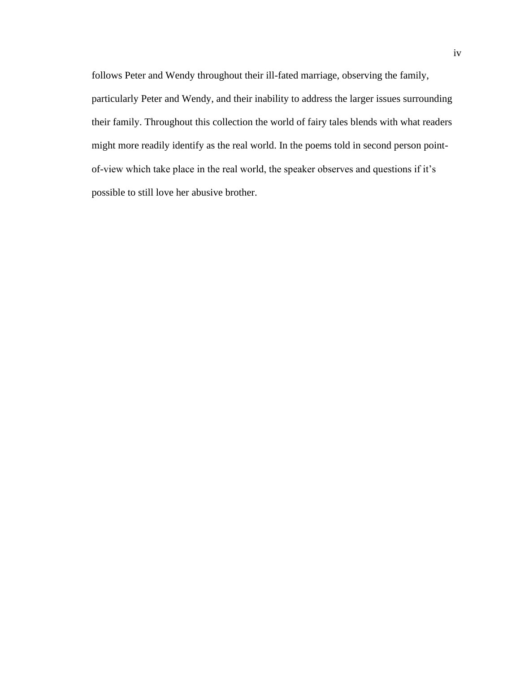follows Peter and Wendy throughout their ill-fated marriage, observing the family, particularly Peter and Wendy, and their inability to address the larger issues surrounding their family. Throughout this collection the world of fairy tales blends with what readers might more readily identify as the real world. In the poems told in second person pointof-view which take place in the real world, the speaker observes and questions if it's possible to still love her abusive brother.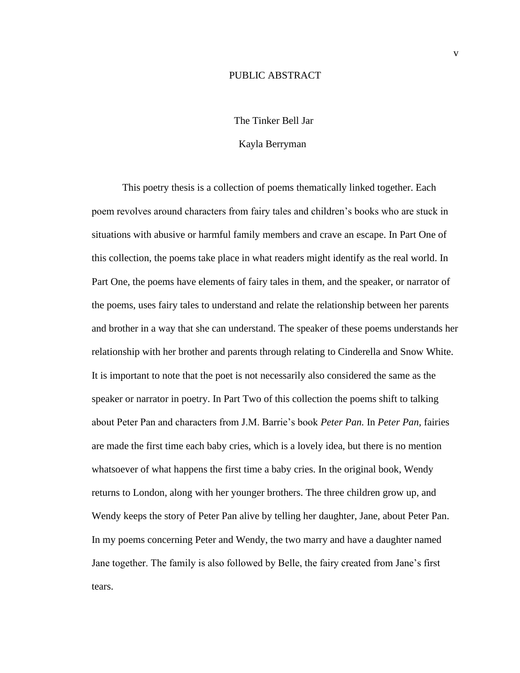# PUBLIC ABSTRACT

## The Tinker Bell Jar

#### Kayla Berryman

This poetry thesis is a collection of poems thematically linked together. Each poem revolves around characters from fairy tales and children's books who are stuck in situations with abusive or harmful family members and crave an escape. In Part One of this collection, the poems take place in what readers might identify as the real world. In Part One, the poems have elements of fairy tales in them, and the speaker, or narrator of the poems, uses fairy tales to understand and relate the relationship between her parents and brother in a way that she can understand. The speaker of these poems understands her relationship with her brother and parents through relating to Cinderella and Snow White. It is important to note that the poet is not necessarily also considered the same as the speaker or narrator in poetry. In Part Two of this collection the poems shift to talking about Peter Pan and characters from J.M. Barrie's book *Peter Pan.* In *Peter Pan,* fairies are made the first time each baby cries, which is a lovely idea, but there is no mention whatsoever of what happens the first time a baby cries. In the original book, Wendy returns to London, along with her younger brothers. The three children grow up, and Wendy keeps the story of Peter Pan alive by telling her daughter, Jane, about Peter Pan. In my poems concerning Peter and Wendy, the two marry and have a daughter named Jane together. The family is also followed by Belle, the fairy created from Jane's first tears.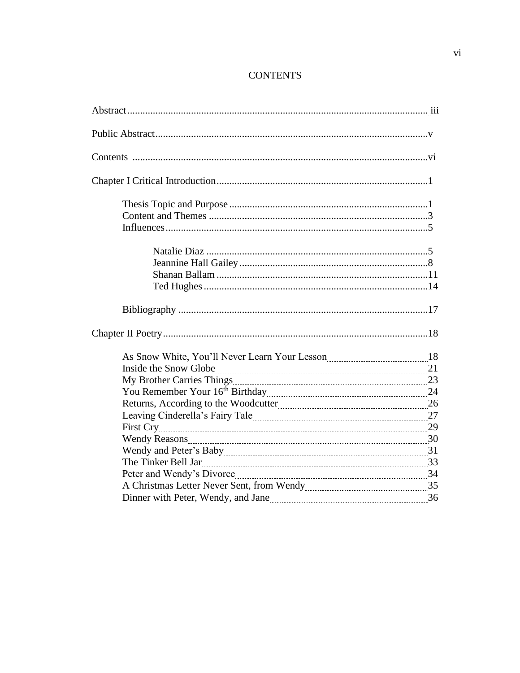# **CONTENTS**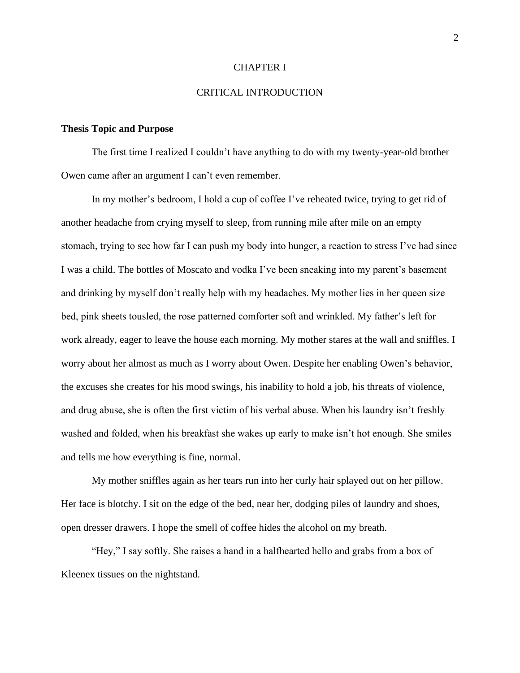#### CHAPTER I

# CRITICAL INTRODUCTION

## **Thesis Topic and Purpose**

The first time I realized I couldn't have anything to do with my twenty-year-old brother Owen came after an argument I can't even remember.

In my mother's bedroom, I hold a cup of coffee I've reheated twice, trying to get rid of another headache from crying myself to sleep, from running mile after mile on an empty stomach, trying to see how far I can push my body into hunger, a reaction to stress I've had since I was a child. The bottles of Moscato and vodka I've been sneaking into my parent's basement and drinking by myself don't really help with my headaches. My mother lies in her queen size bed, pink sheets tousled, the rose patterned comforter soft and wrinkled. My father's left for work already, eager to leave the house each morning. My mother stares at the wall and sniffles. I worry about her almost as much as I worry about Owen. Despite her enabling Owen's behavior, the excuses she creates for his mood swings, his inability to hold a job, his threats of violence, and drug abuse, she is often the first victim of his verbal abuse. When his laundry isn't freshly washed and folded, when his breakfast she wakes up early to make isn't hot enough. She smiles and tells me how everything is fine, normal.

My mother sniffles again as her tears run into her curly hair splayed out on her pillow. Her face is blotchy. I sit on the edge of the bed, near her, dodging piles of laundry and shoes, open dresser drawers. I hope the smell of coffee hides the alcohol on my breath.

"Hey," I say softly. She raises a hand in a halfhearted hello and grabs from a box of Kleenex tissues on the nightstand.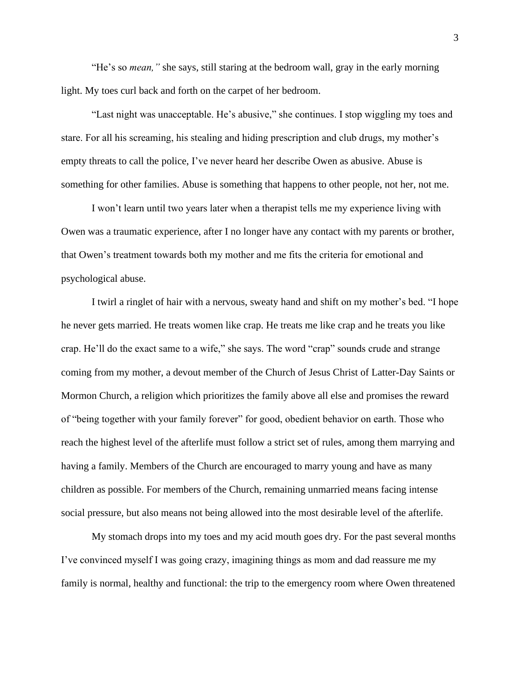"He's so *mean,"* she says, still staring at the bedroom wall, gray in the early morning light. My toes curl back and forth on the carpet of her bedroom.

"Last night was unacceptable. He's abusive," she continues. I stop wiggling my toes and stare. For all his screaming, his stealing and hiding prescription and club drugs, my mother's empty threats to call the police, I've never heard her describe Owen as abusive. Abuse is something for other families. Abuse is something that happens to other people, not her, not me.

I won't learn until two years later when a therapist tells me my experience living with Owen was a traumatic experience, after I no longer have any contact with my parents or brother, that Owen's treatment towards both my mother and me fits the criteria for emotional and psychological abuse.

I twirl a ringlet of hair with a nervous, sweaty hand and shift on my mother's bed. "I hope he never gets married. He treats women like crap. He treats me like crap and he treats you like crap. He'll do the exact same to a wife," she says. The word "crap" sounds crude and strange coming from my mother, a devout member of the Church of Jesus Christ of Latter-Day Saints or Mormon Church, a religion which prioritizes the family above all else and promises the reward of "being together with your family forever" for good, obedient behavior on earth. Those who reach the highest level of the afterlife must follow a strict set of rules, among them marrying and having a family. Members of the Church are encouraged to marry young and have as many children as possible. For members of the Church, remaining unmarried means facing intense social pressure, but also means not being allowed into the most desirable level of the afterlife.

My stomach drops into my toes and my acid mouth goes dry. For the past several months I've convinced myself I was going crazy, imagining things as mom and dad reassure me my family is normal, healthy and functional: the trip to the emergency room where Owen threatened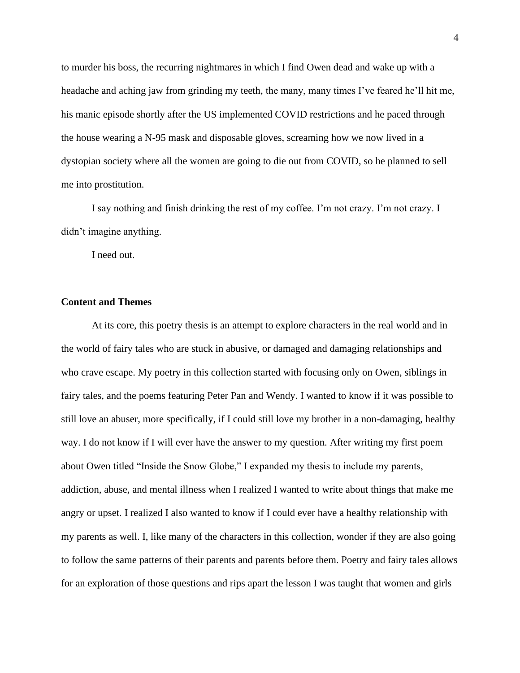to murder his boss, the recurring nightmares in which I find Owen dead and wake up with a headache and aching jaw from grinding my teeth, the many, many times I've feared he'll hit me, his manic episode shortly after the US implemented COVID restrictions and he paced through the house wearing a N-95 mask and disposable gloves, screaming how we now lived in a dystopian society where all the women are going to die out from COVID, so he planned to sell me into prostitution.

I say nothing and finish drinking the rest of my coffee. I'm not crazy. I'm not crazy. I didn't imagine anything.

I need out.

# **Content and Themes**

At its core, this poetry thesis is an attempt to explore characters in the real world and in the world of fairy tales who are stuck in abusive, or damaged and damaging relationships and who crave escape. My poetry in this collection started with focusing only on Owen, siblings in fairy tales, and the poems featuring Peter Pan and Wendy. I wanted to know if it was possible to still love an abuser, more specifically, if I could still love my brother in a non-damaging, healthy way. I do not know if I will ever have the answer to my question. After writing my first poem about Owen titled "Inside the Snow Globe," I expanded my thesis to include my parents, addiction, abuse, and mental illness when I realized I wanted to write about things that make me angry or upset. I realized I also wanted to know if I could ever have a healthy relationship with my parents as well. I, like many of the characters in this collection, wonder if they are also going to follow the same patterns of their parents and parents before them. Poetry and fairy tales allows for an exploration of those questions and rips apart the lesson I was taught that women and girls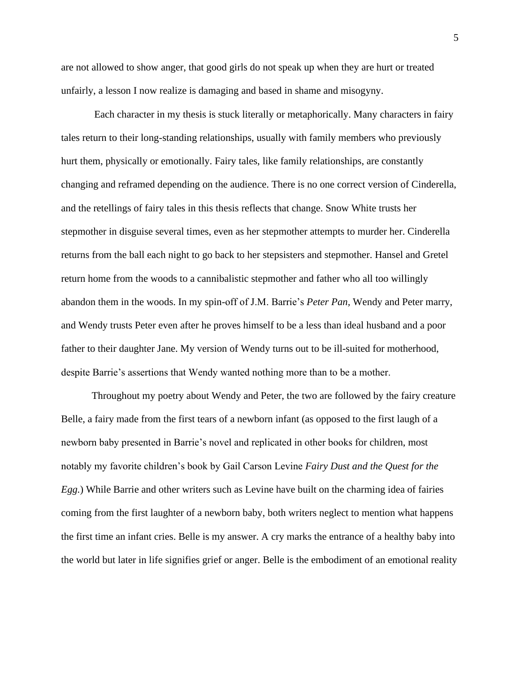are not allowed to show anger, that good girls do not speak up when they are hurt or treated unfairly, a lesson I now realize is damaging and based in shame and misogyny.

Each character in my thesis is stuck literally or metaphorically. Many characters in fairy tales return to their long-standing relationships, usually with family members who previously hurt them, physically or emotionally. Fairy tales, like family relationships, are constantly changing and reframed depending on the audience. There is no one correct version of Cinderella, and the retellings of fairy tales in this thesis reflects that change. Snow White trusts her stepmother in disguise several times, even as her stepmother attempts to murder her. Cinderella returns from the ball each night to go back to her stepsisters and stepmother. Hansel and Gretel return home from the woods to a cannibalistic stepmother and father who all too willingly abandon them in the woods. In my spin-off of J.M. Barrie's *Peter Pan,* Wendy and Peter marry, and Wendy trusts Peter even after he proves himself to be a less than ideal husband and a poor father to their daughter Jane. My version of Wendy turns out to be ill-suited for motherhood, despite Barrie's assertions that Wendy wanted nothing more than to be a mother.

Throughout my poetry about Wendy and Peter, the two are followed by the fairy creature Belle, a fairy made from the first tears of a newborn infant (as opposed to the first laugh of a newborn baby presented in Barrie's novel and replicated in other books for children, most notably my favorite children's book by Gail Carson Levine *Fairy Dust and the Quest for the Egg.*) While Barrie and other writers such as Levine have built on the charming idea of fairies coming from the first laughter of a newborn baby, both writers neglect to mention what happens the first time an infant cries. Belle is my answer. A cry marks the entrance of a healthy baby into the world but later in life signifies grief or anger. Belle is the embodiment of an emotional reality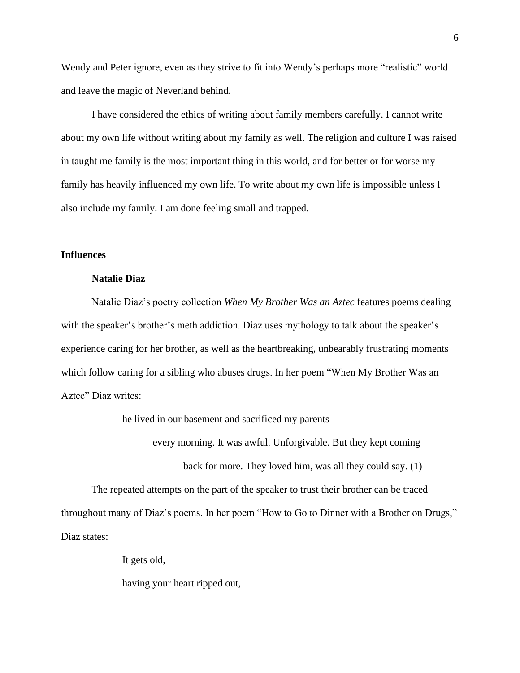Wendy and Peter ignore, even as they strive to fit into Wendy's perhaps more "realistic" world and leave the magic of Neverland behind.

I have considered the ethics of writing about family members carefully. I cannot write about my own life without writing about my family as well. The religion and culture I was raised in taught me family is the most important thing in this world, and for better or for worse my family has heavily influenced my own life. To write about my own life is impossible unless I also include my family. I am done feeling small and trapped.

# **Influences**

## **Natalie Diaz**

Natalie Diaz's poetry collection *When My Brother Was an Aztec* features poems dealing with the speaker's brother's meth addiction. Diaz uses mythology to talk about the speaker's experience caring for her brother, as well as the heartbreaking, unbearably frustrating moments which follow caring for a sibling who abuses drugs. In her poem "When My Brother Was an Aztec" Diaz writes:

he lived in our basement and sacrificed my parents

every morning. It was awful. Unforgivable. But they kept coming

back for more. They loved him, was all they could say. (1)

The repeated attempts on the part of the speaker to trust their brother can be traced throughout many of Diaz's poems. In her poem "How to Go to Dinner with a Brother on Drugs," Diaz states:

It gets old,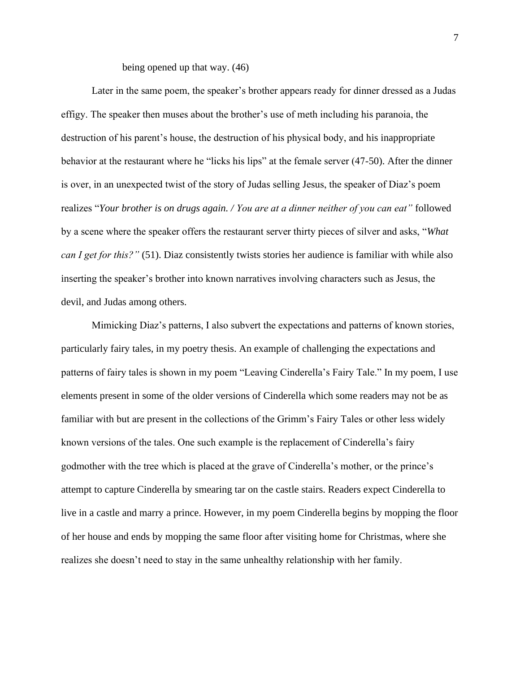being opened up that way. (46)

Later in the same poem, the speaker's brother appears ready for dinner dressed as a Judas effigy. The speaker then muses about the brother's use of meth including his paranoia, the destruction of his parent's house, the destruction of his physical body, and his inappropriate behavior at the restaurant where he "licks his lips" at the female server (47-50). After the dinner is over, in an unexpected twist of the story of Judas selling Jesus, the speaker of Diaz's poem realizes "*Your brother is on drugs again. / You are at a dinner neither of you can eat"* followed by a scene where the speaker offers the restaurant server thirty pieces of silver and asks, "*What can I get for this?"* (51). Diaz consistently twists stories her audience is familiar with while also inserting the speaker's brother into known narratives involving characters such as Jesus, the devil, and Judas among others.

Mimicking Diaz's patterns, I also subvert the expectations and patterns of known stories, particularly fairy tales, in my poetry thesis. An example of challenging the expectations and patterns of fairy tales is shown in my poem "Leaving Cinderella's Fairy Tale." In my poem, I use elements present in some of the older versions of Cinderella which some readers may not be as familiar with but are present in the collections of the Grimm's Fairy Tales or other less widely known versions of the tales. One such example is the replacement of Cinderella's fairy godmother with the tree which is placed at the grave of Cinderella's mother, or the prince's attempt to capture Cinderella by smearing tar on the castle stairs. Readers expect Cinderella to live in a castle and marry a prince. However, in my poem Cinderella begins by mopping the floor of her house and ends by mopping the same floor after visiting home for Christmas, where she realizes she doesn't need to stay in the same unhealthy relationship with her family.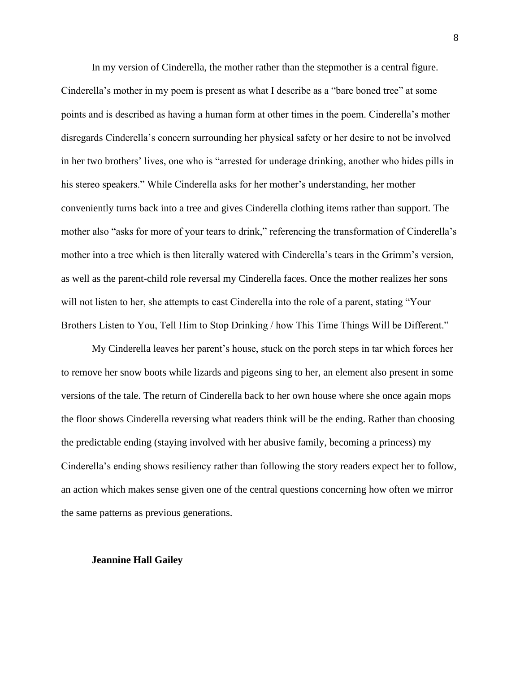In my version of Cinderella, the mother rather than the stepmother is a central figure. Cinderella's mother in my poem is present as what I describe as a "bare boned tree" at some points and is described as having a human form at other times in the poem. Cinderella's mother disregards Cinderella's concern surrounding her physical safety or her desire to not be involved in her two brothers' lives, one who is "arrested for underage drinking, another who hides pills in his stereo speakers." While Cinderella asks for her mother's understanding, her mother conveniently turns back into a tree and gives Cinderella clothing items rather than support. The mother also "asks for more of your tears to drink," referencing the transformation of Cinderella's mother into a tree which is then literally watered with Cinderella's tears in the Grimm's version, as well as the parent-child role reversal my Cinderella faces. Once the mother realizes her sons will not listen to her, she attempts to cast Cinderella into the role of a parent, stating "Your Brothers Listen to You, Tell Him to Stop Drinking / how This Time Things Will be Different."

My Cinderella leaves her parent's house, stuck on the porch steps in tar which forces her to remove her snow boots while lizards and pigeons sing to her, an element also present in some versions of the tale. The return of Cinderella back to her own house where she once again mops the floor shows Cinderella reversing what readers think will be the ending. Rather than choosing the predictable ending (staying involved with her abusive family, becoming a princess) my Cinderella's ending shows resiliency rather than following the story readers expect her to follow, an action which makes sense given one of the central questions concerning how often we mirror the same patterns as previous generations.

#### **Jeannine Hall Gailey**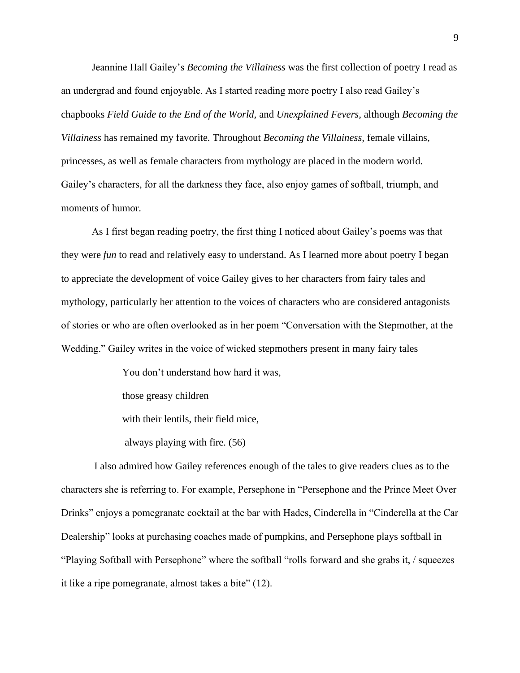Jeannine Hall Gailey's *Becoming the Villainess* was the first collection of poetry I read as an undergrad and found enjoyable. As I started reading more poetry I also read Gailey's chapbooks *Field Guide to the End of the World,* and *Unexplained Fevers,* although *Becoming the Villainess* has remained my favorite*.* Throughout *Becoming the Villainess,* female villains, princesses, as well as female characters from mythology are placed in the modern world. Gailey's characters, for all the darkness they face, also enjoy games of softball, triumph, and moments of humor.

As I first began reading poetry, the first thing I noticed about Gailey's poems was that they were *fun* to read and relatively easy to understand. As I learned more about poetry I began to appreciate the development of voice Gailey gives to her characters from fairy tales and mythology, particularly her attention to the voices of characters who are considered antagonists of stories or who are often overlooked as in her poem "Conversation with the Stepmother, at the Wedding." Gailey writes in the voice of wicked stepmothers present in many fairy tales

> You don't understand how hard it was, those greasy children with their lentils, their field mice, always playing with fire. (56)

I also admired how Gailey references enough of the tales to give readers clues as to the characters she is referring to. For example, Persephone in "Persephone and the Prince Meet Over Drinks" enjoys a pomegranate cocktail at the bar with Hades, Cinderella in "Cinderella at the Car Dealership" looks at purchasing coaches made of pumpkins, and Persephone plays softball in "Playing Softball with Persephone" where the softball "rolls forward and she grabs it, / squeezes it like a ripe pomegranate, almost takes a bite" (12).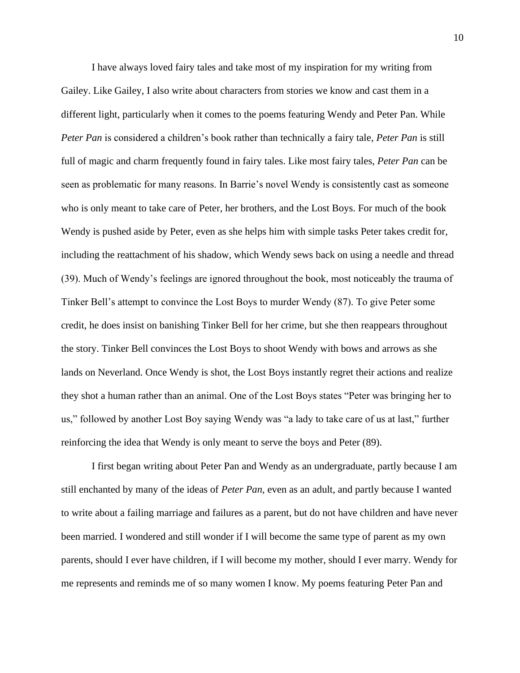I have always loved fairy tales and take most of my inspiration for my writing from Gailey. Like Gailey, I also write about characters from stories we know and cast them in a different light, particularly when it comes to the poems featuring Wendy and Peter Pan. While *Peter Pan* is considered a children's book rather than technically a fairy tale, *Peter Pan* is still full of magic and charm frequently found in fairy tales. Like most fairy tales, *Peter Pan* can be seen as problematic for many reasons. In Barrie's novel Wendy is consistently cast as someone who is only meant to take care of Peter, her brothers, and the Lost Boys. For much of the book Wendy is pushed aside by Peter, even as she helps him with simple tasks Peter takes credit for, including the reattachment of his shadow, which Wendy sews back on using a needle and thread (39). Much of Wendy's feelings are ignored throughout the book, most noticeably the trauma of Tinker Bell's attempt to convince the Lost Boys to murder Wendy (87). To give Peter some credit, he does insist on banishing Tinker Bell for her crime, but she then reappears throughout the story. Tinker Bell convinces the Lost Boys to shoot Wendy with bows and arrows as she lands on Neverland. Once Wendy is shot, the Lost Boys instantly regret their actions and realize they shot a human rather than an animal. One of the Lost Boys states "Peter was bringing her to us," followed by another Lost Boy saying Wendy was "a lady to take care of us at last," further reinforcing the idea that Wendy is only meant to serve the boys and Peter (89).

I first began writing about Peter Pan and Wendy as an undergraduate, partly because I am still enchanted by many of the ideas of *Peter Pan,* even as an adult, and partly because I wanted to write about a failing marriage and failures as a parent, but do not have children and have never been married. I wondered and still wonder if I will become the same type of parent as my own parents, should I ever have children, if I will become my mother, should I ever marry. Wendy for me represents and reminds me of so many women I know. My poems featuring Peter Pan and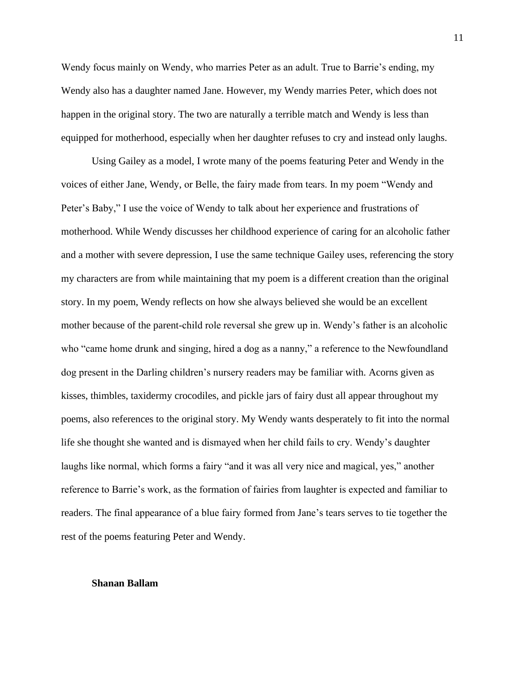Wendy focus mainly on Wendy, who marries Peter as an adult. True to Barrie's ending, my Wendy also has a daughter named Jane. However, my Wendy marries Peter, which does not happen in the original story. The two are naturally a terrible match and Wendy is less than equipped for motherhood, especially when her daughter refuses to cry and instead only laughs.

Using Gailey as a model, I wrote many of the poems featuring Peter and Wendy in the voices of either Jane, Wendy, or Belle, the fairy made from tears. In my poem "Wendy and Peter's Baby," I use the voice of Wendy to talk about her experience and frustrations of motherhood. While Wendy discusses her childhood experience of caring for an alcoholic father and a mother with severe depression, I use the same technique Gailey uses, referencing the story my characters are from while maintaining that my poem is a different creation than the original story. In my poem, Wendy reflects on how she always believed she would be an excellent mother because of the parent-child role reversal she grew up in. Wendy's father is an alcoholic who "came home drunk and singing, hired a dog as a nanny," a reference to the Newfoundland dog present in the Darling children's nursery readers may be familiar with. Acorns given as kisses, thimbles, taxidermy crocodiles, and pickle jars of fairy dust all appear throughout my poems, also references to the original story. My Wendy wants desperately to fit into the normal life she thought she wanted and is dismayed when her child fails to cry. Wendy's daughter laughs like normal, which forms a fairy "and it was all very nice and magical, yes," another reference to Barrie's work, as the formation of fairies from laughter is expected and familiar to readers. The final appearance of a blue fairy formed from Jane's tears serves to tie together the rest of the poems featuring Peter and Wendy.

#### **Shanan Ballam**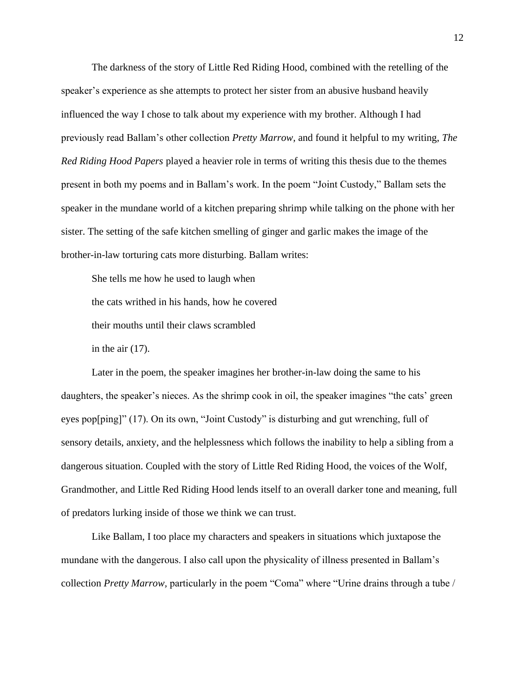The darkness of the story of Little Red Riding Hood, combined with the retelling of the speaker's experience as she attempts to protect her sister from an abusive husband heavily influenced the way I chose to talk about my experience with my brother. Although I had previously read Ballam's other collection *Pretty Marrow,* and found it helpful to my writing, *The Red Riding Hood Papers* played a heavier role in terms of writing this thesis due to the themes present in both my poems and in Ballam's work. In the poem "Joint Custody," Ballam sets the speaker in the mundane world of a kitchen preparing shrimp while talking on the phone with her sister. The setting of the safe kitchen smelling of ginger and garlic makes the image of the brother-in-law torturing cats more disturbing. Ballam writes:

She tells me how he used to laugh when the cats writhed in his hands, how he covered their mouths until their claws scrambled in the air  $(17)$ .

Later in the poem, the speaker imagines her brother-in-law doing the same to his daughters, the speaker's nieces. As the shrimp cook in oil, the speaker imagines "the cats' green eyes pop[ping]" (17). On its own, "Joint Custody" is disturbing and gut wrenching, full of sensory details, anxiety, and the helplessness which follows the inability to help a sibling from a dangerous situation. Coupled with the story of Little Red Riding Hood, the voices of the Wolf, Grandmother, and Little Red Riding Hood lends itself to an overall darker tone and meaning, full of predators lurking inside of those we think we can trust.

Like Ballam, I too place my characters and speakers in situations which juxtapose the mundane with the dangerous. I also call upon the physicality of illness presented in Ballam's collection *Pretty Marrow,* particularly in the poem "Coma" where "Urine drains through a tube /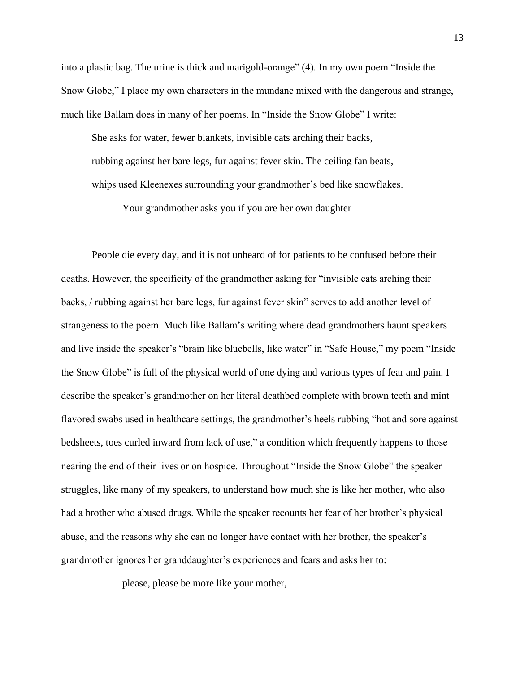into a plastic bag. The urine is thick and marigold-orange" (4)*.* In my own poem "Inside the Snow Globe," I place my own characters in the mundane mixed with the dangerous and strange, much like Ballam does in many of her poems. In "Inside the Snow Globe" I write:

She asks for water, fewer blankets, invisible cats arching their backs, rubbing against her bare legs, fur against fever skin. The ceiling fan beats, whips used Kleenexes surrounding your grandmother's bed like snowflakes.

Your grandmother asks you if you are her own daughter

People die every day, and it is not unheard of for patients to be confused before their deaths. However, the specificity of the grandmother asking for "invisible cats arching their backs, / rubbing against her bare legs, fur against fever skin" serves to add another level of strangeness to the poem. Much like Ballam's writing where dead grandmothers haunt speakers and live inside the speaker's "brain like bluebells, like water" in "Safe House," my poem "Inside the Snow Globe" is full of the physical world of one dying and various types of fear and pain. I describe the speaker's grandmother on her literal deathbed complete with brown teeth and mint flavored swabs used in healthcare settings, the grandmother's heels rubbing "hot and sore against bedsheets, toes curled inward from lack of use," a condition which frequently happens to those nearing the end of their lives or on hospice. Throughout "Inside the Snow Globe" the speaker struggles, like many of my speakers, to understand how much she is like her mother, who also had a brother who abused drugs. While the speaker recounts her fear of her brother's physical abuse, and the reasons why she can no longer have contact with her brother, the speaker's grandmother ignores her granddaughter's experiences and fears and asks her to:

please, please be more like your mother,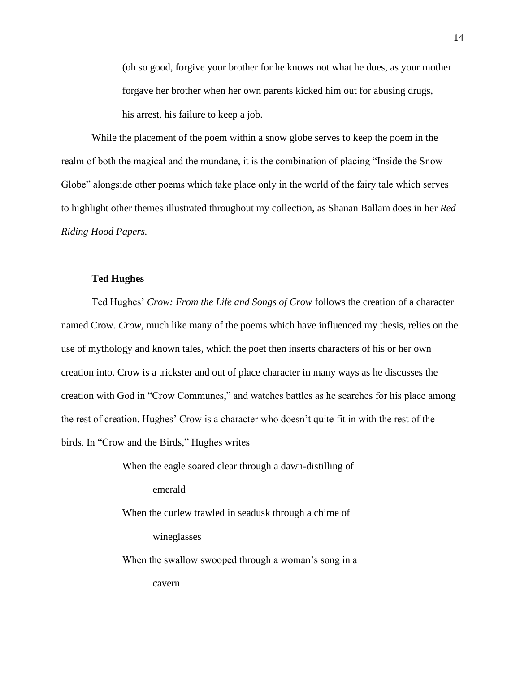(oh so good, forgive your brother for he knows not what he does, as your mother forgave her brother when her own parents kicked him out for abusing drugs, his arrest, his failure to keep a job.

While the placement of the poem within a snow globe serves to keep the poem in the realm of both the magical and the mundane, it is the combination of placing "Inside the Snow Globe" alongside other poems which take place only in the world of the fairy tale which serves to highlight other themes illustrated throughout my collection, as Shanan Ballam does in her *Red Riding Hood Papers.* 

# **Ted Hughes**

Ted Hughes' *Crow: From the Life and Songs of Crow* follows the creation of a character named Crow. *Crow,* much like many of the poems which have influenced my thesis, relies on the use of mythology and known tales, which the poet then inserts characters of his or her own creation into. Crow is a trickster and out of place character in many ways as he discusses the creation with God in "Crow Communes," and watches battles as he searches for his place among the rest of creation. Hughes' Crow is a character who doesn't quite fit in with the rest of the birds. In "Crow and the Birds," Hughes writes

> When the eagle soared clear through a dawn-distilling of emerald When the curlew trawled in seadusk through a chime of wineglasses

When the swallow swooped through a woman's song in a cavern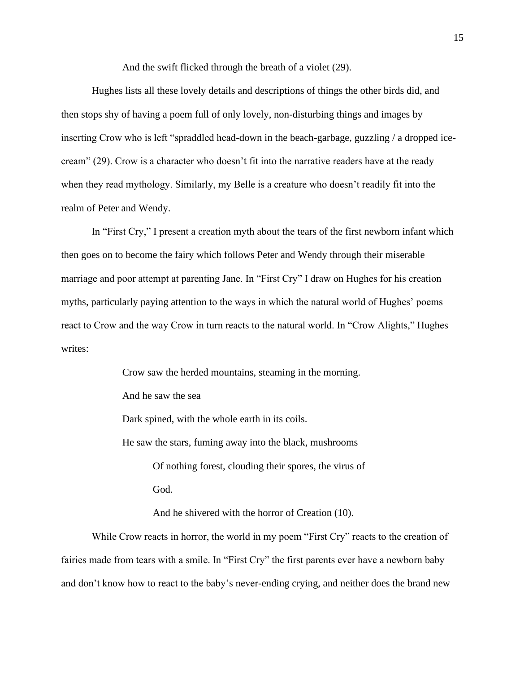And the swift flicked through the breath of a violet (29).

Hughes lists all these lovely details and descriptions of things the other birds did, and then stops shy of having a poem full of only lovely, non-disturbing things and images by inserting Crow who is left "spraddled head-down in the beach-garbage, guzzling / a dropped icecream" (29). Crow is a character who doesn't fit into the narrative readers have at the ready when they read mythology. Similarly, my Belle is a creature who doesn't readily fit into the realm of Peter and Wendy.

In "First Cry," I present a creation myth about the tears of the first newborn infant which then goes on to become the fairy which follows Peter and Wendy through their miserable marriage and poor attempt at parenting Jane. In "First Cry" I draw on Hughes for his creation myths, particularly paying attention to the ways in which the natural world of Hughes' poems react to Crow and the way Crow in turn reacts to the natural world. In "Crow Alights," Hughes writes:

> Crow saw the herded mountains, steaming in the morning. And he saw the sea Dark spined, with the whole earth in its coils. He saw the stars, fuming away into the black, mushrooms Of nothing forest, clouding their spores, the virus of God. And he shivered with the horror of Creation (10).

While Crow reacts in horror, the world in my poem "First Cry" reacts to the creation of fairies made from tears with a smile. In "First Cry" the first parents ever have a newborn baby and don't know how to react to the baby's never-ending crying, and neither does the brand new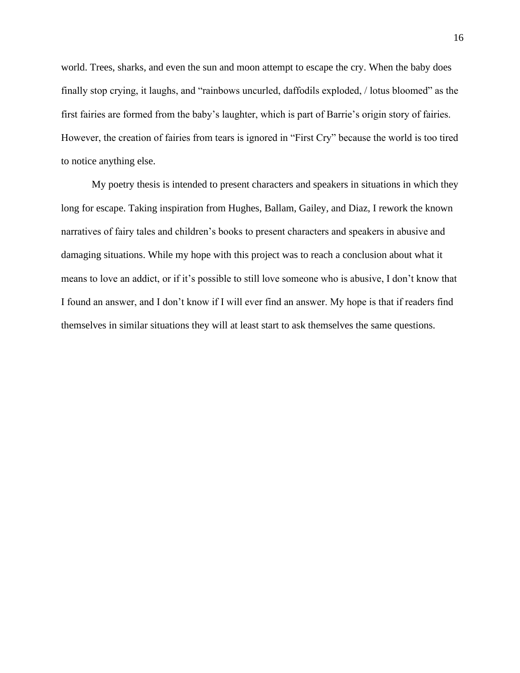world. Trees, sharks, and even the sun and moon attempt to escape the cry. When the baby does finally stop crying, it laughs, and "rainbows uncurled, daffodils exploded, / lotus bloomed" as the first fairies are formed from the baby's laughter, which is part of Barrie's origin story of fairies. However, the creation of fairies from tears is ignored in "First Cry" because the world is too tired to notice anything else.

My poetry thesis is intended to present characters and speakers in situations in which they long for escape. Taking inspiration from Hughes, Ballam, Gailey, and Diaz, I rework the known narratives of fairy tales and children's books to present characters and speakers in abusive and damaging situations. While my hope with this project was to reach a conclusion about what it means to love an addict, or if it's possible to still love someone who is abusive, I don't know that I found an answer, and I don't know if I will ever find an answer. My hope is that if readers find themselves in similar situations they will at least start to ask themselves the same questions.